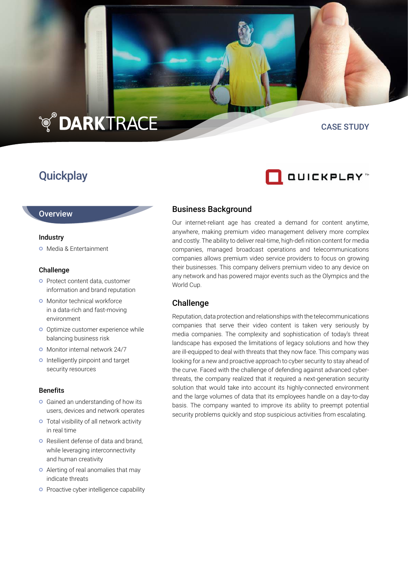# **TO DARKTRACE**

## **Quickplay**

#### CASE STUDY

QUICKPLAY"

#### Business Background

Our internet-reliant age has created a demand for content anytime, anywhere, making premium video management delivery more complex and costly. The ability to deliver real-time, high-defi nition content for media companies, managed broadcast operations and telecommunications companies allows premium video service providers to focus on growing their businesses. This company delivers premium video to any device on any network and has powered major events such as the Olympics and the World Cup.

#### Challenge

Reputation, data protection and relationships with the telecommunications companies that serve their video content is taken very seriously by media companies. The complexity and sophistication of today's threat landscape has exposed the limitations of legacy solutions and how they are ill-equipped to deal with threats that they now face. This company was looking for a new and proactive approach to cyber security to stay ahead of the curve. Faced with the challenge of defending against advanced cyberthreats, the company realized that it required a next-generation security solution that would take into account its highly-connected environment and the large volumes of data that its employees handle on a day-to-day basis. The company wanted to improve its ability to preempt potential security problems quickly and stop suspicious activities from escalating.

**Overview** 

#### Industry

Media & Entertainment

#### Challenge

- **o** Protect content data, customer information and brand reputation
- **o** Monitor technical workforce in a data-rich and fast-moving environment
- **o** Optimize customer experience while balancing business risk
- **O** Monitor internal network 24/7
- o Intelligently pinpoint and target security resources

#### **Benefits**

- **o** Gained an understanding of how its users, devices and network operates
- Total visibility of all network activity in real time
- **O** Resilient defense of data and brand, while leveraging interconnectivity and human creativity
- Alerting of real anomalies that may indicate threats
- **o** Proactive cyber intelligence capability